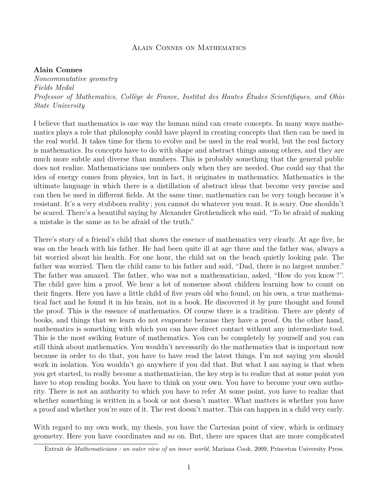## Alain Connes on Mathematics

## **Alain Connes**

*Noncommutative geometry Fields Medal Professor of Mathematics, Collège de France, Institut des Hautes Études Scientifiques, and Ohio State University*

I believe that mathematics is one way the human mind can create concepts. In many ways mathematics plays a role that philosophy could have played in creating concepts that then can be used in the real world. It takes time for them to evolve and be used in the real world, but the real factory is mathematics. Its concepts have to do with shape and abstract things among others, and they are much more subtle and diverse than numbers. This is probably something that the general public does not realize. Mathematicians use numbers only when they are needed. One could say that the idea of energy comes from physics, but in fact, it originates in mathematics. Mathematics is the ultimate language in which there is a distillation of abstract ideas that become very precise and can then be used in different fields. At the same time, mathematics can be very tough because it's resistant. It's a very stubborn reality ; you cannot do whatever you want. It is scary. One shouldn't be scared. There's a beautiful saying by Alexander Grothendieck who said, "To be afraid of making a mistake is the same as to be afraid of the truth."

There's story of a friend's child that shows the essence of mathematics very clearly. At age five, he was on the beach with his father. He had been quite ill at age three and the father was, always a bit worried about his health. For one hour, the child sat on the beach quietly looking pale. The father was worried. Then the child came to his father and said, "Dad, there is no largest number." The father was amazed. The father, who was not a mathematician, asked, "How do you know ?". The child gave him a proof. We hear a lot of nonsense about children learning how to count on their fingers. Here you have a little child of five years old who found, on his own, a true mathematical fact and he found it in his brain, not in a book. He discovered it by pure thought and found the proof. This is the essence of mathematics. Of course there is a tradition. There are plenty of books, and things that we learn do not evaporate because they have a proof. On the other hand, mathematics is something with which you can have direct contact without any intermediate tool. This is the most swiking feature of mathematics. You can be completely by yourself and you can still think about mathematics. You wouldn't necessarily do the mathematics that is important now because in order to do that, you have to have read the latest things. I'm not saying you should work in isolation. You wouldn't go anywhere if you did that. But what I am saying is that when you get started, to really become a mathematician, the key step is to realize that at some point you have to stop reading books. You have to think on your own. You have to become your own authority. There is not an authority to which you have to refer At some point, you have to realize that whether something is written in a book or not doesn't matter. What matters is whether you have a proof and whether you're sure of it. The rest doesn't matter. This can happen in a child very early.

With regard to my own work, my thesis, you have the Cartesian point of view, which is ordinary geometry. Here you have coordinates and so on. But, there are spaces that are more complicated

Extrait de *Mathematicians : an outer view of an inner world*, Mariana Cook, 2009, Princeton University Press.